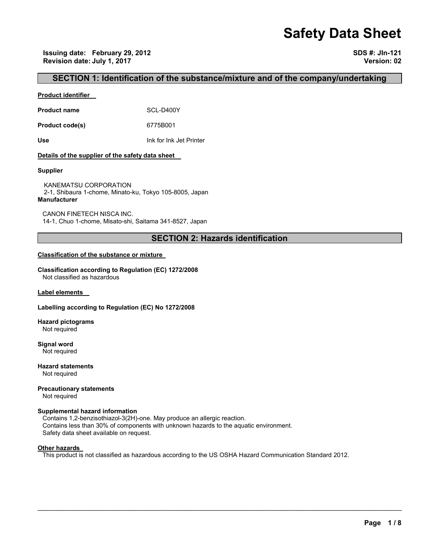# **Safety Data Sheet**

**Issuing date: February 29, 2012 SDS #: JIn-121 Revision date: July 1, 2017 Version: 02** 

## **SECTION 1: Identification of the substance/mixture and of the company/undertaking**

#### **Product identifier**

**Product name** SCL-D400Y

**Product code(s)** 6775B001

**Use** Ink for Ink Jet Printer

#### **Details of the supplier of the safety data sheet**

#### **Supplier**

KANEMATSU CORPORATION 2-1, Shibaura 1-chome, Minato-ku, Tokyo 105-8005, Japan **Manufacturer**

CANON FINETECH NISCA INC. 14-1, Chuo 1-chome, Misato-shi, Saitama 341-8527, Japan

## **SECTION 2: Hazards identification**

#### **Classification of the substance or mixture**

**Classification according to Regulation (EC) 1272/2008** Not classified as hazardous

**Label elements** 

#### **Labelling according to Regulation (EC) No 1272/2008**

**Hazard pictograms** Not required

**Signal word** Not required

**Hazard statements** Not required

**Precautionary statements** 

Not required

#### **Supplemental hazard information**

Contains 1,2-benzisothiazol-3(2H)-one. May produce an allergic reaction. Contains less than 30% of components with unknown hazards to the aquatic environment. Safety data sheet available on request.

#### **Other hazards**

This product is not classified as hazardous according to the US OSHA Hazard Communication Standard 2012.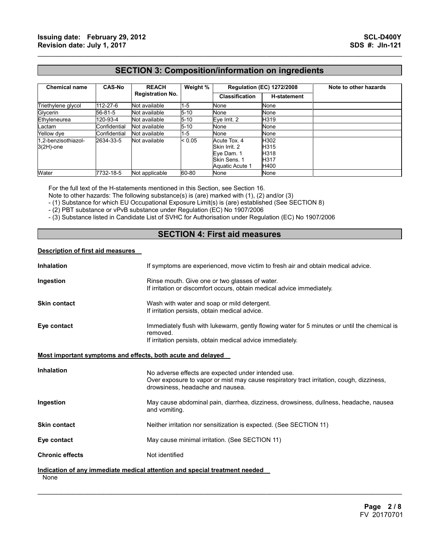## **SECTION 3: Composition/information on ingredients**

 $\mathcal{L}_\mathcal{L} = \{ \mathcal{L}_\mathcal{L} = \{ \mathcal{L}_\mathcal{L} = \{ \mathcal{L}_\mathcal{L} = \{ \mathcal{L}_\mathcal{L} = \{ \mathcal{L}_\mathcal{L} = \{ \mathcal{L}_\mathcal{L} = \{ \mathcal{L}_\mathcal{L} = \{ \mathcal{L}_\mathcal{L} = \{ \mathcal{L}_\mathcal{L} = \{ \mathcal{L}_\mathcal{L} = \{ \mathcal{L}_\mathcal{L} = \{ \mathcal{L}_\mathcal{L} = \{ \mathcal{L}_\mathcal{L} = \{ \mathcal{L}_\mathcal{$ 

| <b>Chemical name</b>                | <b>CAS-No</b> | <b>REACH</b><br><b>Registration No.</b> | Weight % | <b>Regulation (EC) 1272/2008</b>                                               |                                      | Note to other hazards |
|-------------------------------------|---------------|-----------------------------------------|----------|--------------------------------------------------------------------------------|--------------------------------------|-----------------------|
|                                     |               |                                         |          | <b>Classification</b>                                                          | <b>H-statement</b>                   |                       |
| Triethylene glycol                  | 112-27-6      | Not available                           | $1 - 5$  | None                                                                           | None                                 |                       |
| Glycerin                            | 56-81-5       | Not available                           | $5 - 10$ | None                                                                           | None                                 |                       |
| Ethyleneurea                        | 120-93-4      | Not available                           | $5 - 10$ | Eve Irrit. 2                                                                   | H319                                 |                       |
| Lactam                              | Confidential  | Not available                           | $5 - 10$ | None                                                                           | None                                 |                       |
| Yellow dye                          | Confidential  | Not available                           | $1 - 5$  | None                                                                           | None                                 |                       |
| 1.2-benzisothiazol-<br>$3(2H)$ -one | 2634-33-5     | Not available                           | < 0.05   | Acute Tox. 4<br>Skin Irrit, 2<br>Eye Dam. 1<br>Skin Sens. 1<br>Aquatic Acute 1 | H302<br>H315<br>H318<br>H317<br>H400 |                       |
| Water                               | 7732-18-5     | Not applicable                          | 60-80    | None                                                                           | None                                 |                       |

For the full text of the H-statements mentioned in this Section, see Section 16.

Note to other hazards: The following substance(s) is (are) marked with (1), (2) and/or (3)

- (1) Substance for which EU Occupational Exposure Limit(s) is (are) established (See SECTION 8)

- (2) PBT substance or vPvB substance under Regulation (EC) No 1907/2006

- (3) Substance listed in Candidate List of SVHC for Authorisation under Regulation (EC) No 1907/2006

## **SECTION 4: First aid measures**

#### **Description of first aid measures**

| <b>Inhalation</b>                                           | If symptoms are experienced, move victim to fresh air and obtain medical advice.                                                                                                    |
|-------------------------------------------------------------|-------------------------------------------------------------------------------------------------------------------------------------------------------------------------------------|
| Ingestion                                                   | Rinse mouth. Give one or two glasses of water.<br>If irritation or discomfort occurs, obtain medical advice immediately.                                                            |
| <b>Skin contact</b>                                         | Wash with water and soap or mild detergent.<br>If irritation persists, obtain medical advice.                                                                                       |
| Eye contact                                                 | Immediately flush with lukewarm, gently flowing water for 5 minutes or until the chemical is<br>removed.<br>If irritation persists, obtain medical advice immediately.              |
| Most important symptoms and effects, both acute and delayed |                                                                                                                                                                                     |
| <b>Inhalation</b>                                           | No adverse effects are expected under intended use.<br>Over exposure to vapor or mist may cause respiratory tract irritation, cough, dizziness,<br>drowsiness, headache and nausea. |
| Ingestion                                                   | May cause abdominal pain, diarrhea, dizziness, drowsiness, dullness, headache, nausea<br>and vomiting.                                                                              |
| <b>Skin contact</b>                                         | Neither irritation nor sensitization is expected. (See SECTION 11)                                                                                                                  |
| Eye contact                                                 | May cause minimal irritation. (See SECTION 11)                                                                                                                                      |
| <b>Chronic effects</b>                                      | Not identified                                                                                                                                                                      |
| None                                                        | Indication of any immediate medical attention and special treatment needed                                                                                                          |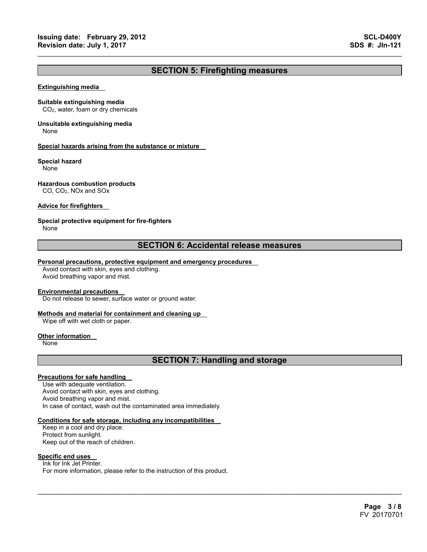## **SECTION 5: Firefighting measures**

 $\mathcal{L}_\mathcal{L} = \{ \mathcal{L}_\mathcal{L} = \{ \mathcal{L}_\mathcal{L} = \{ \mathcal{L}_\mathcal{L} = \{ \mathcal{L}_\mathcal{L} = \{ \mathcal{L}_\mathcal{L} = \{ \mathcal{L}_\mathcal{L} = \{ \mathcal{L}_\mathcal{L} = \{ \mathcal{L}_\mathcal{L} = \{ \mathcal{L}_\mathcal{L} = \{ \mathcal{L}_\mathcal{L} = \{ \mathcal{L}_\mathcal{L} = \{ \mathcal{L}_\mathcal{L} = \{ \mathcal{L}_\mathcal{L} = \{ \mathcal{L}_\mathcal{$ 

#### **Extinguishing media**

#### **Suitable extinguishing media**

CO2, water, foam or dry chemicals

## **Unsuitable extinguishing media**

None

#### **Special hazards arising from the substance or mixture**

#### **Special hazard**

None

#### **Hazardous combustion products**

CO, CO2, NOx and SOx

#### **Advice for firefighters**

#### **Special protective equipment for fire-fighters**

None

## **SECTION 6: Accidental release measures**

#### **Personal precautions, protective equipment and emergency procedures**

Avoid contact with skin, eyes and clothing. Avoid breathing vapor and mist.

#### **Environmental precautions**

Do not release to sewer, surface water or ground water.

#### **Methods and material for containment and cleaning up**

Wipe off with wet cloth or paper.

#### **Other information**

None

## **SECTION 7: Handling and storage**

 $\mathcal{L}_\mathcal{L} = \mathcal{L}_\mathcal{L} = \mathcal{L}_\mathcal{L} = \mathcal{L}_\mathcal{L} = \mathcal{L}_\mathcal{L} = \mathcal{L}_\mathcal{L} = \mathcal{L}_\mathcal{L} = \mathcal{L}_\mathcal{L} = \mathcal{L}_\mathcal{L} = \mathcal{L}_\mathcal{L} = \mathcal{L}_\mathcal{L} = \mathcal{L}_\mathcal{L} = \mathcal{L}_\mathcal{L} = \mathcal{L}_\mathcal{L} = \mathcal{L}_\mathcal{L} = \mathcal{L}_\mathcal{L} = \mathcal{L}_\mathcal{L}$ 

### **Precautions for safe handling**

Use with adequate ventilation. Avoid contact with skin, eyes and clothing. Avoid breathing vapor and mist. In case of contact, wash out the contaminated area immediately.

#### **Conditions for safe storage, including any incompatibilities**

Keep in a cool and dry place. Protect from sunlight. Keep out of the reach of children.

#### **Specific end uses**

Ink for Ink Jet Printer. For more information, please refer to the instruction of this product.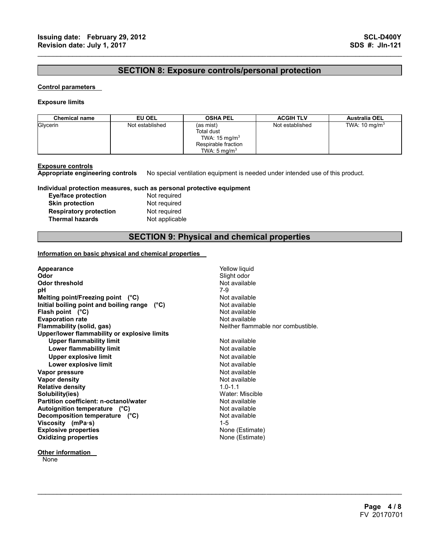## **SECTION 8: Exposure controls/personal protection**

 $\mathcal{L}_\mathcal{L} = \{ \mathcal{L}_\mathcal{L} = \{ \mathcal{L}_\mathcal{L} = \{ \mathcal{L}_\mathcal{L} = \{ \mathcal{L}_\mathcal{L} = \{ \mathcal{L}_\mathcal{L} = \{ \mathcal{L}_\mathcal{L} = \{ \mathcal{L}_\mathcal{L} = \{ \mathcal{L}_\mathcal{L} = \{ \mathcal{L}_\mathcal{L} = \{ \mathcal{L}_\mathcal{L} = \{ \mathcal{L}_\mathcal{L} = \{ \mathcal{L}_\mathcal{L} = \{ \mathcal{L}_\mathcal{L} = \{ \mathcal{L}_\mathcal{$ 

#### **Control parameters**

#### **Exposure limits**

| <b>Chemical name</b> | EU OEL          | <b>OSHA PEL</b>                                                                                              | <b>ACGIH TLV</b> | <b>Australia OEL</b>     |
|----------------------|-----------------|--------------------------------------------------------------------------------------------------------------|------------------|--------------------------|
| Glycerin             | Not established | (as mist)<br><b>Total dust</b><br>TWA: $15 \text{ mg/m}^3$<br>Respirable fraction<br>TWA: $5 \text{ ma/m}^3$ | Not established  | TWA: $10 \text{ mg/m}^3$ |

**Other information** 

**None** 

**Exposure controls Appropriate engineering controls** No special ventilation equipment is needed under intended use of this product.

#### **Individual protection measures, such as personal protective equipment**

| Eye/face protection           |
|-------------------------------|
| <b>Skin protection</b>        |
| <b>Respiratory protection</b> |
| <b>Thermal hazards</b>        |

**Not required Not required Not required Not applicable** 

## **SECTION 9: Physical and chemical properties**

 $\mathcal{L}_\mathcal{L} = \mathcal{L}_\mathcal{L} = \mathcal{L}_\mathcal{L} = \mathcal{L}_\mathcal{L} = \mathcal{L}_\mathcal{L} = \mathcal{L}_\mathcal{L} = \mathcal{L}_\mathcal{L} = \mathcal{L}_\mathcal{L} = \mathcal{L}_\mathcal{L} = \mathcal{L}_\mathcal{L} = \mathcal{L}_\mathcal{L} = \mathcal{L}_\mathcal{L} = \mathcal{L}_\mathcal{L} = \mathcal{L}_\mathcal{L} = \mathcal{L}_\mathcal{L} = \mathcal{L}_\mathcal{L} = \mathcal{L}_\mathcal{L}$ 

#### **Information on basic physical and chemical properties**

| Appearance                                   | Yellow liquid                      |
|----------------------------------------------|------------------------------------|
| Odor                                         | Slight odor                        |
| Odor threshold                               | Not available                      |
| рH                                           | 7-9                                |
| Melting point/Freezing point $(^{\circ}C)$   | Not available                      |
| Initial boiling point and boiling range (°C) | Not available                      |
| Flash point $(^{\circ}C)$                    | Not available                      |
| <b>Evaporation rate</b>                      | Not available                      |
| Flammability (solid, gas)                    | Neither flammable nor combustible. |
| Upper/lower flammability or explosive limits |                                    |
| <b>Upper flammability limit</b>              | Not available                      |
| <b>Lower flammability limit</b>              | Not available                      |
| Upper explosive limit                        | Not available                      |
| Lower explosive limit                        | Not available                      |
| Vapor pressure                               | Not available                      |
| Vapor density                                | Not available                      |
| <b>Relative density</b>                      | $1.0 - 1.1$                        |
| Solubility(ies)                              | Water: Miscible                    |
| Partition coefficient: n-octanol/water       | Not available                      |
| Autoignition temperature (°C)                | Not available                      |
| Decomposition temperature (°C)               | Not available                      |
| Viscosity (mPa-s)                            | $1 - 5$                            |
| <b>Explosive properties</b>                  | None (Estimate)                    |
| <b>Oxidizing properties</b>                  | None (Estimate)                    |
|                                              |                                    |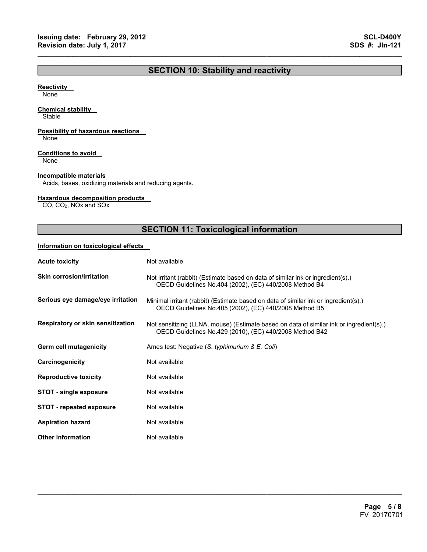## **SECTION 10: Stability and reactivity**

 $\mathcal{L}_\mathcal{L} = \{ \mathcal{L}_\mathcal{L} = \{ \mathcal{L}_\mathcal{L} = \{ \mathcal{L}_\mathcal{L} = \{ \mathcal{L}_\mathcal{L} = \{ \mathcal{L}_\mathcal{L} = \{ \mathcal{L}_\mathcal{L} = \{ \mathcal{L}_\mathcal{L} = \{ \mathcal{L}_\mathcal{L} = \{ \mathcal{L}_\mathcal{L} = \{ \mathcal{L}_\mathcal{L} = \{ \mathcal{L}_\mathcal{L} = \{ \mathcal{L}_\mathcal{L} = \{ \mathcal{L}_\mathcal{L} = \{ \mathcal{L}_\mathcal{$ 

#### **Reactivity**

None

#### **Chemical stability**

**Stable** 

### **Possibility of hazardous reactions**

None

#### **Conditions to avoid**

None

#### **Incompatible materials**

Acids, bases, oxidizing materials and reducing agents.

#### **Hazardous decomposition products**

CO, CO2, NOx and SOx

## **SECTION 11: Toxicological information**

#### **Information on toxicological effects**

| <b>Acute toxicity</b>             | Not available                                                                                                                                      |
|-----------------------------------|----------------------------------------------------------------------------------------------------------------------------------------------------|
| <b>Skin corrosion/irritation</b>  | Not irritant (rabbit) (Estimate based on data of similar ink or ingredient(s).)<br>OECD Guidelines No.404 (2002), (EC) 440/2008 Method B4          |
| Serious eye damage/eye irritation | Minimal irritant (rabbit) (Estimate based on data of similar ink or ingredient(s).)<br>OECD Guidelines No.405 (2002), (EC) 440/2008 Method B5      |
| Respiratory or skin sensitization | Not sensitizing (LLNA, mouse) (Estimate based on data of similar ink or ingredient(s).)<br>OECD Guidelines No.429 (2010), (EC) 440/2008 Method B42 |
| Germ cell mutagenicity            | Ames test: Negative (S. typhimurium & E. Coli)                                                                                                     |
| Carcinogenicity                   | Not available                                                                                                                                      |
| <b>Reproductive toxicity</b>      | Not available                                                                                                                                      |
| <b>STOT - single exposure</b>     | Not available                                                                                                                                      |
| <b>STOT - repeated exposure</b>   | Not available                                                                                                                                      |
| <b>Aspiration hazard</b>          | Not available                                                                                                                                      |
| <b>Other information</b>          | Not available                                                                                                                                      |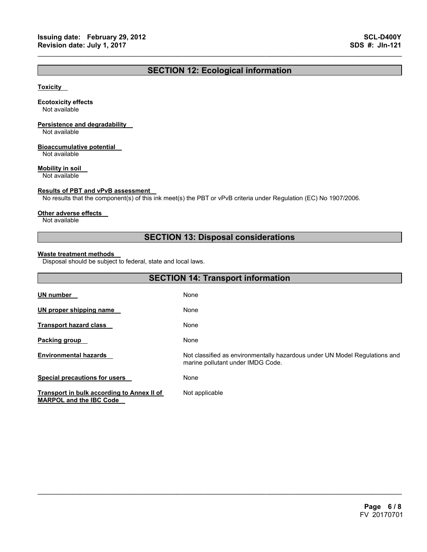## **SECTION 12: Ecological information**

 $\mathcal{L}_\mathcal{L} = \{ \mathcal{L}_\mathcal{L} = \{ \mathcal{L}_\mathcal{L} = \{ \mathcal{L}_\mathcal{L} = \{ \mathcal{L}_\mathcal{L} = \{ \mathcal{L}_\mathcal{L} = \{ \mathcal{L}_\mathcal{L} = \{ \mathcal{L}_\mathcal{L} = \{ \mathcal{L}_\mathcal{L} = \{ \mathcal{L}_\mathcal{L} = \{ \mathcal{L}_\mathcal{L} = \{ \mathcal{L}_\mathcal{L} = \{ \mathcal{L}_\mathcal{L} = \{ \mathcal{L}_\mathcal{L} = \{ \mathcal{L}_\mathcal{$ 

#### **Toxicity**

#### **Ecotoxicity effects**

Not available

## **Persistence and degradability**

Not available

#### **Bioaccumulative potential**

Not available

#### **Mobility in soil**

Not available

#### **Results of PBT and vPvB assessment**

No results that the component(s) of this ink meet(s) the PBT or vPvB criteria under Regulation (EC) No 1907/2006.

#### **Other adverse effects**

Not available

## **SECTION 13: Disposal considerations**

#### **Waste treatment methods**

Disposal should be subject to federal, state and local laws.

| <b>SECTION 14: Transport information</b>                                     |                                                                                                                 |  |
|------------------------------------------------------------------------------|-----------------------------------------------------------------------------------------------------------------|--|
| <b>UN number</b>                                                             | None                                                                                                            |  |
| UN proper shipping name                                                      | None                                                                                                            |  |
| <b>Transport hazard class</b>                                                | None                                                                                                            |  |
| Packing group                                                                | None                                                                                                            |  |
| <b>Environmental hazards</b>                                                 | Not classified as environmentally hazardous under UN Model Regulations and<br>marine pollutant under IMDG Code. |  |
| <b>Special precautions for users</b>                                         | None                                                                                                            |  |
| Transport in bulk according to Annex II of<br><b>MARPOL and the IBC Code</b> | Not applicable                                                                                                  |  |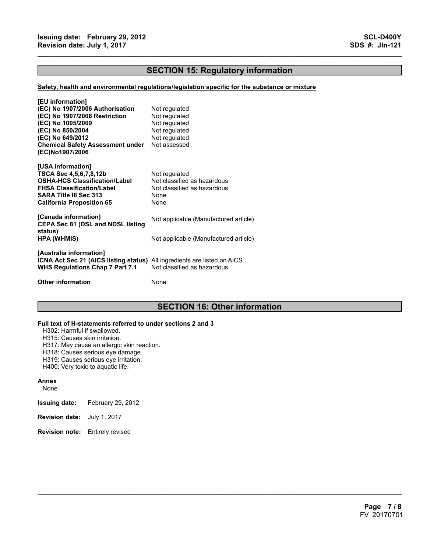## **SECTION 15: Regulatory information**

 $\mathcal{L}_\mathcal{L} = \{ \mathcal{L}_\mathcal{L} = \{ \mathcal{L}_\mathcal{L} = \{ \mathcal{L}_\mathcal{L} = \{ \mathcal{L}_\mathcal{L} = \{ \mathcal{L}_\mathcal{L} = \{ \mathcal{L}_\mathcal{L} = \{ \mathcal{L}_\mathcal{L} = \{ \mathcal{L}_\mathcal{L} = \{ \mathcal{L}_\mathcal{L} = \{ \mathcal{L}_\mathcal{L} = \{ \mathcal{L}_\mathcal{L} = \{ \mathcal{L}_\mathcal{L} = \{ \mathcal{L}_\mathcal{L} = \{ \mathcal{L}_\mathcal{$ 

#### **Safety, health and environmental regulations/legislation specific for the substance or mixture**

| [EU information]<br>(EC) No 1907/2006 Authorisation<br>(EC) No 1907/2006 Restriction<br>(EC) No 1005/2009<br>(EC) No 850/2004<br>(EC) No 649/2012<br><b>Chemical Safety Assessment under</b><br>(EC)No1907/2006 | Not regulated<br>Not regulated<br>Not regulated<br>Not regulated<br>Not regulated<br>Not assessed |
|-----------------------------------------------------------------------------------------------------------------------------------------------------------------------------------------------------------------|---------------------------------------------------------------------------------------------------|
| [USA information]<br>TSCA Sec 4,5,6,7,8,12b<br><b>OSHA-HCS Classification/Label</b><br><b>FHSA Classification/Label</b><br><b>SARA Title III Sec 313</b><br><b>California Proposition 65</b>                    | Not regulated<br>Not classified as hazardous<br>Not classified as hazardous<br>None<br>None       |
| [Canada information]<br><b>CEPA Sec 81 (DSL and NDSL listing</b><br>status)                                                                                                                                     | Not applicable (Manufactured article)                                                             |
| <b>HPA (WHMIS)</b>                                                                                                                                                                                              | Not applicable (Manufactured article)                                                             |
| [Australia information]<br>ICNA Act Sec 21 (AICS listing status) All ingredients are listed on AICS.<br>WHS Regulations Chap 7 Part 7.1                                                                         | Not classified as hazardous                                                                       |
| <b>Other information</b>                                                                                                                                                                                        | None                                                                                              |

## **SECTION 16: Other information**

 $\mathcal{L}_\mathcal{L} = \mathcal{L}_\mathcal{L} = \mathcal{L}_\mathcal{L} = \mathcal{L}_\mathcal{L} = \mathcal{L}_\mathcal{L} = \mathcal{L}_\mathcal{L} = \mathcal{L}_\mathcal{L} = \mathcal{L}_\mathcal{L} = \mathcal{L}_\mathcal{L} = \mathcal{L}_\mathcal{L} = \mathcal{L}_\mathcal{L} = \mathcal{L}_\mathcal{L} = \mathcal{L}_\mathcal{L} = \mathcal{L}_\mathcal{L} = \mathcal{L}_\mathcal{L} = \mathcal{L}_\mathcal{L} = \mathcal{L}_\mathcal{L}$ 

#### **Full text of H-statements referred to under sections 2 and 3**

H302: Harmful if swallowed.

H315: Causes skin irritation.

H317: May cause an allergic skin reaction.

H318: Causes serious eye damage.

H319: Causes serious eye irritation.

H400: Very toxic to aquatic life.

#### **Annex**

None

- **Issuing date:** February 29, 2012
- **Revision date:** July 1, 2017
- **Revision note:** Entirely revised